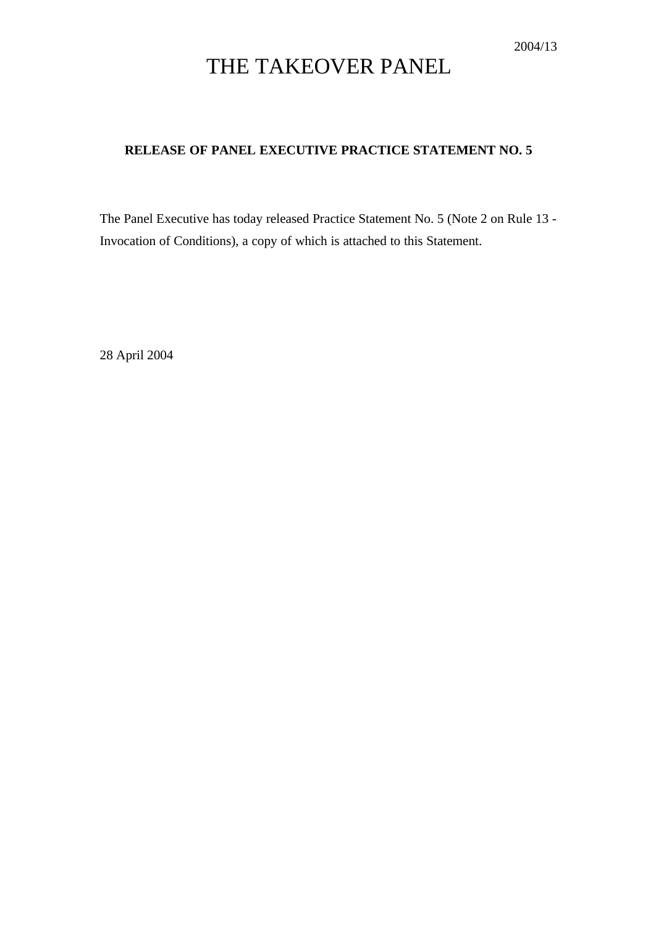## THE TAKEOVER PANEL

## **RELEASE OF PANEL EXECUTIVE PRACTICE STATEMENT NO. 5**

The Panel Executive has today released Practice Statement No. 5 (Note 2 on Rule 13 - Invocation of Conditions), a copy of which is attached to this Statement.

28 April 2004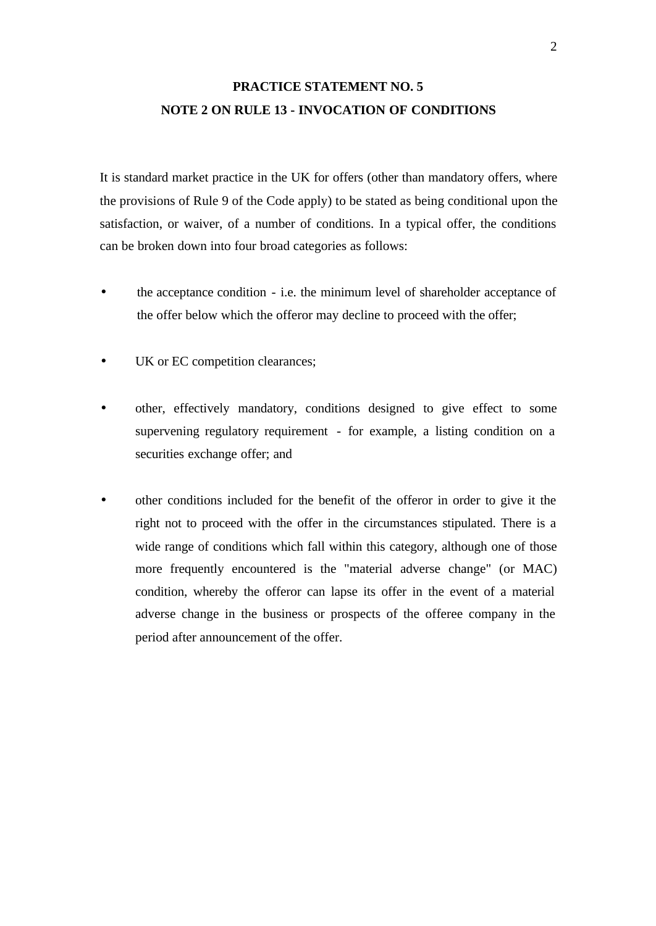## **PRACTICE STATEMENT NO. 5 NOTE 2 ON RULE 13 - INVOCATION OF CONDITIONS**

It is standard market practice in the UK for offers (other than mandatory offers, where the provisions of Rule 9 of the Code apply) to be stated as being conditional upon the satisfaction, or waiver, of a number of conditions. In a typical offer, the conditions can be broken down into four broad categories as follows:

- the acceptance condition i.e. the minimum level of shareholder acceptance of the offer below which the offeror may decline to proceed with the offer;
- UK or EC competition clearances;
- other, effectively mandatory, conditions designed to give effect to some supervening regulatory requirement - for example, a listing condition on a securities exchange offer; and
- other conditions included for the benefit of the offeror in order to give it the right not to proceed with the offer in the circumstances stipulated. There is a wide range of conditions which fall within this category, although one of those more frequently encountered is the "material adverse change" (or MAC) condition, whereby the offeror can lapse its offer in the event of a material adverse change in the business or prospects of the offeree company in the period after announcement of the offer.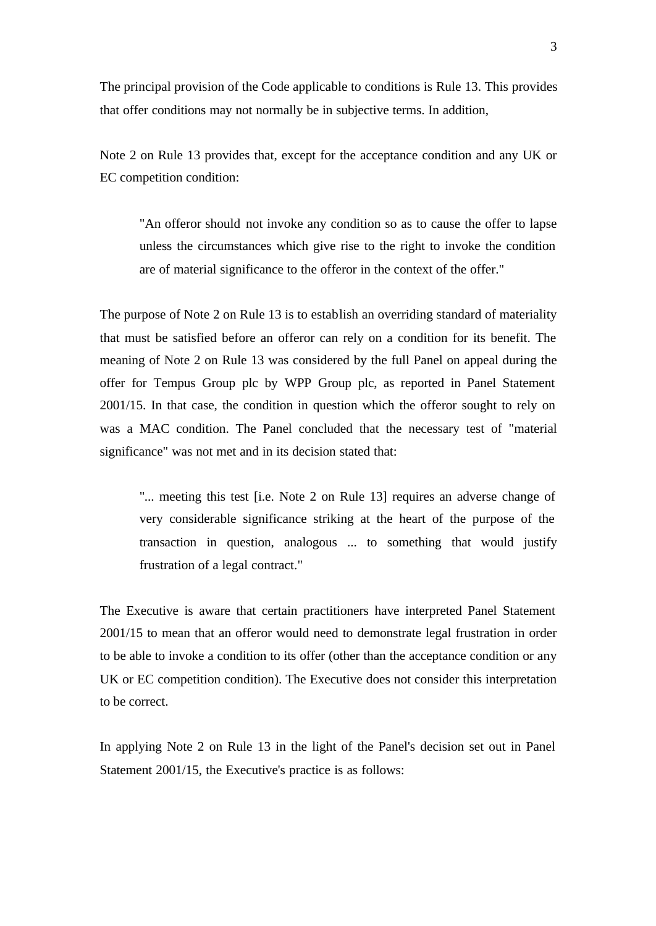The principal provision of the Code applicable to conditions is Rule 13. This provides that offer conditions may not normally be in subjective terms. In addition,

Note 2 on Rule 13 provides that, except for the acceptance condition and any UK or EC competition condition:

"An offeror should not invoke any condition so as to cause the offer to lapse unless the circumstances which give rise to the right to invoke the condition are of material significance to the offeror in the context of the offer."

The purpose of Note 2 on Rule 13 is to establish an overriding standard of materiality that must be satisfied before an offeror can rely on a condition for its benefit. The meaning of Note 2 on Rule 13 was considered by the full Panel on appeal during the offer for Tempus Group plc by WPP Group plc, as reported in Panel Statement 2001/15. In that case, the condition in question which the offeror sought to rely on was a MAC condition. The Panel concluded that the necessary test of "material significance" was not met and in its decision stated that:

"... meeting this test [i.e. Note 2 on Rule 13] requires an adverse change of very considerable significance striking at the heart of the purpose of the transaction in question, analogous ... to something that would justify frustration of a legal contract."

The Executive is aware that certain practitioners have interpreted Panel Statement 2001/15 to mean that an offeror would need to demonstrate legal frustration in order to be able to invoke a condition to its offer (other than the acceptance condition or any UK or EC competition condition). The Executive does not consider this interpretation to be correct.

In applying Note 2 on Rule 13 in the light of the Panel's decision set out in Panel Statement 2001/15, the Executive's practice is as follows: